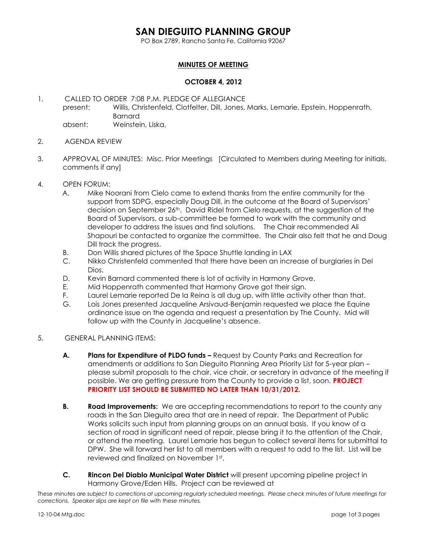### **SAN DIEGUITO PLANNING GROUP**

PO Box 2789, Rancho Santa Fe, California 92067

### **MINUTES OF MEETING**

#### **OCTOBER 4, 2012**

1. CALLED TO ORDER 7:08 P.M. PLEDGE OF ALLEGIANCE present: Willis, Christenfeld, Clotfelter, Dill, Jones, Marks, Lemarie, Epstein, Hoppenrath, Barnard absent: Weinstein, Liska,

- 2. AGENDA REVIEW
- 3. APPROVAL OF MINUTES: Misc. Prior Meetings [Circulated to Members during Meeting for initials, comments if any]
- 4. OPEN FORUM:
	- A. Mike Noorani from Cielo came to extend thanks from the entire community for the support from SDPG, especially Doug Dill, in the outcome at the Board of Supervisors' decision on September 26th. David Ridel from Cielo requests, at the suggestion of the Board of Supervisors, a sub-committee be formed to work with the community and developer to address the issues and find solutions. The Chair recommended Ali Shapouri be contacted to organize the committee. The Chair also felt that he and Doug Dill track the progress.
	- B. Don Willis shared pictures of the Space Shuttle landing in LAX
	- C. Nikko Christenfeld commented that there have been an increase of burglaries in Del Dios.
	- D. Kevin Barnard commented there is lot of activity in Harmony Grove.
	- E. Mid Hoppenrath commented that Harmony Grove got their sign.
	- F. Laurel Lemarie reported De la Reina is all dug up, with little activity other than that.
	- G. Lois Jones presented Jacqueline Arsivaud-Benjamin requested we place the Equine ordinance issue on the agenda and request a presentation by The County. Mid will follow up with the County in Jacqueline's absence.
- 5. GENERAL PLANNING ITEMS:
	- **A. Plans for Expenditure of PLDO funds –** Request by County Parks and Recreation for amendments or additions to San Dieguito Planning Area Priority List for 5-year plan – please submit proposals to the chair, vice chair, or secretary in advance of the meeting if possible. We are getting pressure from the County to provide a list, soon. **PROJECT PRIORITY LIST SHOULD BE SUBMITTED NO LATER THAN 10/31/2012.**
	- **B. Road Improvements:** We are accepting recommendations to report to the county any roads in the San Dieguito area that are in need of repair. The Department of Public Works solicits such input from planning groups on an annual basis. If you know of a section of road in significant need of repair, please bring it to the attention of the Chair, or attend the meeting. Laurel Lemarie has begun to collect several items for submittal to DPW. She will forward her list to all members with a request to add to the list. List will be reviewed and finalized on November 1st.
	- **C. Rincon Del Diablo Municipal Water District** will present upcoming pipeline project in Harmony Grove/Eden Hills. Project can be reviewed at

*These minutes are subject to corrections at upcoming regularly scheduled meetings. Please check minutes of future meetings for corrections. Speaker slips are kept on file with these minutes.*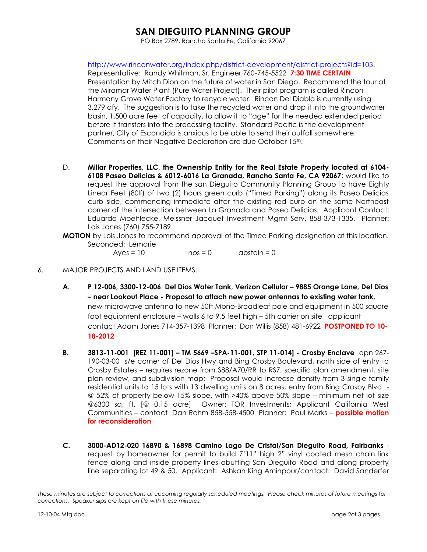# **SAN DIEGUITO PLANNING GROUP**

PO Box 2789, Rancho Santa Fe, California 92067

[http://www.rinconwater.org/index.php/district-development/district-projects?id=103.](http://www.rinconwater.org/index.php/district-development/district-projects?id=103) Representative: Randy Whitman, Sr. Engineer 760-745-5522 **7:30 TIME CERTAIN**  Presentation by Mitch Dion on the future of water in San Diego. Recommend the tour at the Miramar Water Plant (Pure Water Project). Their pilot program is called Rincon Harmony Grove Water Factory to recycle water. Rincon Del Diablo is currently using 3,279 afy. The suggestion is to take the recycled water and drop it into the groundwater basin, 1,500 acre feet of capacity, to allow it to "age" for the needed extended period before it transfers into the processing facility. Standard Pacific is the development partner, City of Escondido is anxious to be able to send their outfall somewhere. Comments on their Negative Declaration are due October 15th.

- D. **Millar Properties, LLC, the Ownership Entity for the Real Estate Property located at 6104- 6108 Paseo Delicias & 6012-6016 La Granada, Rancho Santa Fe, CA 92067**; would like to request the approval from the san Dieguito Community Planning Group to have Eighty Linear Feet (80lf) of two (2) hours green curb ("Timed Parking") along its Paseo Delicias curb side, commencing immediate after the existing red curb on the same Northeast corner of the intersection between La Granada and Paseo Delicias. Applicant Contact: Eduardo Moehlecke, Meissner Jacquet Investment Mgmt Serv. 858-373-1335. Planner: Lois Jones (760) 755-7189
- **MOTION** by Lois Jones to recommend approval of the Timed Parking designation at this location. Seconded: Lemarie

 $Ayes = 10$  nos = 0 abstain = 0

- 6. MAJOR PROJECTS AND LAND USE ITEMS:
	- **A. P 12-006, 3300-12-006 Del Dios Water Tank, Verizon Cellular – 9885 Orange Lane, Del Dios – near Lookout Place - Proposal to attach new power antennas to existing water tank,**  new microwave antenna to new 50ft Mono-Broadleaf pole and equipment in 500 square foot equipment enclosure – walls 6 to 9,5 feet high – 5th carrier on site applicant contact Adam Jones 714-357-1398 Planner: Don Willis (858) 481-6922 **POSTPONED TO 10- 18-2012**
	- **B. 3813-11-001 [REZ 11-001] – TM 5669 –SPA-11-001, STP 11-014] - Crosby Enclave** apn 267- 190-03-00 s/e corner of Del Dios Hwy and Bing Crosby Boulevard, north side of entry to Crosby Estates – requires rezone from S88/A70/RR to RS7, specific plan amendment, site plan review, and subdivision map; Proposal would increase density from 3 single family residential units to 15 lots with 13 dwelling units on 8 acres, entry from Bing Crosby Blvd. - @ 52% of property below 15% slope, with >40% above 50% slope – minimum net lot size @6300 sq. ft. [@ 0.15 acre] Owner: TOR Investments; Applicant California West Communities – contact Dan Rehm 858-558-4500 Planner: Paul Marks – **possible motion for reconsideration**
	- **C. 3000-AD12-020 16890 & 16898 Camino Lago De Cristal/San Dieguito Road, Fairbanks** request by homeowner for permit to build 7'11" high 2" vinyl coated mesh chain link fence along and inside property lines abutting San Dieguito Road and along property line separating lot 49 & 50. Applicant: Ashkan King Aminpour/contact: David Sanderfer

*These minutes are subject to corrections at upcoming regularly scheduled meetings. Please check minutes of future meetings for corrections. Speaker slips are kept on file with these minutes.*